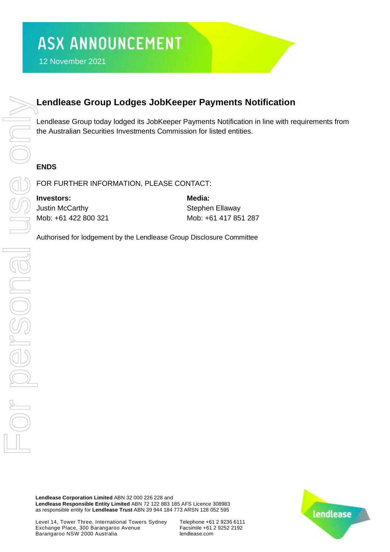## **Lendlease Group Lodges JobKeeper Payments Notification**

Lendlease Group today lodged its JobKeeper Payments Notification in line with requirements from the Australian Securities Investments Commission for listed entities.

### **ENDS**

FOR FURTHER INFORMATION, PLEASE CONTACT:

**Investors: Media:** Justin McCarthy **Stephen Ellaway** Mob: +61 422 800 321 Mob: +61 417 851 287

**Lendlease Corporation Limited** ABN 32 000 226 228 and **Lendlease Responsible Entity Limited** ABN 72 122 883 185 AFS Licence 308983 as responsible entity for **Lendlease Trust** ABN 39 944 184 773 ARSN 128 052 595